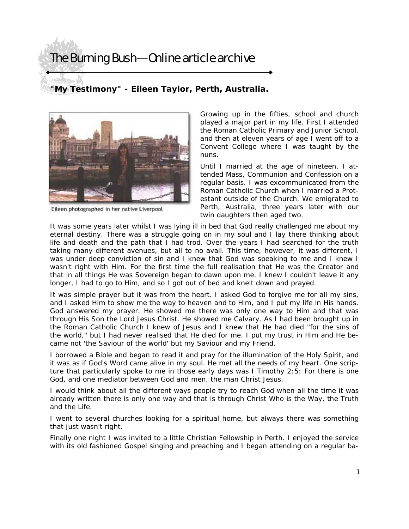## The Burning Bush—Online article archive

## **"My Testimony" - Eileen Taylor, Perth, Australia.**



Eileen photographed in her native Liverpool

Growing up in the fifties, school and church played a major part in my life. First I attended the Roman Catholic Primary and Junior School, and then at eleven years of age I went off to a Convent College where I was taught by the nuns.

Until I married at the age of nineteen, I attended Mass, Communion and Confession on a regular basis. I was excommunicated from the Roman Catholic Church when I married a Protestant outside of the Church. We emigrated to Perth, Australia, three years later with our twin daughters then aged two.

It was some years later whilst I was lying ill in bed that God really challenged me about my eternal destiny. There was a struggle going on in my soul and I lay there thinking about life and death and the path that I had trod. Over the years I had searched for the truth taking many different avenues, but all to no avail. This time, however, it was different, I was under deep conviction of sin and I knew that God was speaking to me and I knew I wasn't right with Him. For the first time the full realisation that He was the Creator and that in all things He was Sovereign began to dawn upon me. I knew I couldn't leave it any longer, I had to go to Him, and so I got out of bed and knelt down and prayed.

It was simple prayer but it was from the heart. I asked God to forgive me for all my sins, and I asked Him to show me the way to heaven and to Him, and I put my life in His hands. God answered my prayer. He showed me there was only one way to Him and that was through His Son the Lord Jesus Christ. He showed me Calvary. As I had been brought up in the Roman Catholic Church I knew of Jesus and I knew that He had died "for the sins of the world," but I had never realised that He died for me. I put my trust in Him and He became not 'the Saviour of the world' but my Saviour and my Friend.

I borrowed a Bible and began to read it and pray for the illumination of the Holy Spirit, and it was as if God's Word came alive in my soul. He met all the needs of my heart. One scripture that particularly spoke to me in those early days was I Timothy 2:5: *For there is one God, and one mediator between God and men, the man Christ Jesus.* 

I would think about all the different ways people try to reach God when all the time it was already written there is only one way and that is through Christ Who is *the Way, the Truth and the Life.* 

I went to several churches looking for a spiritual home, but always there was something that just wasn't right.

Finally one night I was invited to a little Christian Fellowship in Perth. I enjoyed the service with its old fashioned Gospel singing and preaching and I began attending on a regular ba-